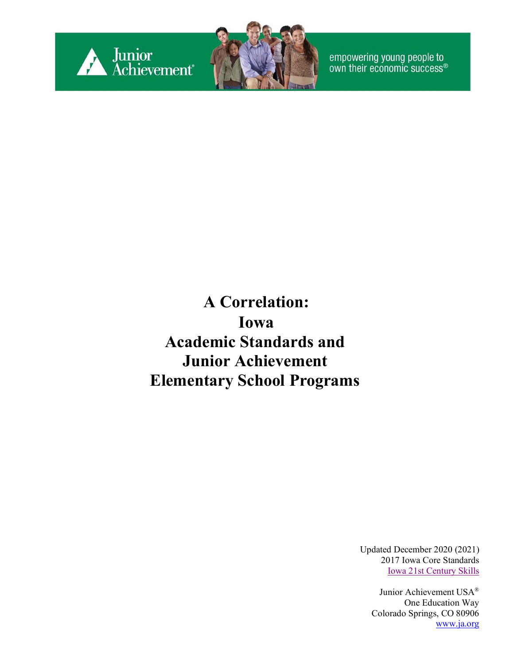



empowering young people to<br>own their economic success®

**A Correlation: Iowa Academic Standards and Junior Achievement Elementary School Programs**

> Updated December 2020 (2021) 2017 Iowa Core Standards [Iowa 21st Century Skills](https://educateiowa.gov/)

Junior Achievement USA® One Education Way Colorado Springs, CO 80906 [www.ja.org](http://www.ja.org/)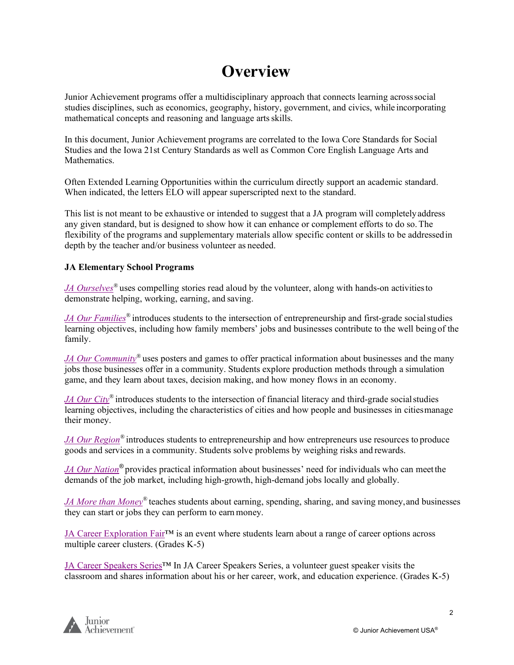#### **Overview**

Junior Achievement programs offer a multidisciplinary approach that connects learning acrosssocial studies disciplines, such as economics, geography, history, government, and civics, while incorporating mathematical concepts and reasoning and language artsskills.

In this document, Junior Achievement programs are correlated to the Iowa Core Standards for Social Studies and the Iowa 21st Century Standards as well as Common Core English Language Arts and Mathematics.

Often Extended Learning Opportunities within the curriculum directly support an academic standard. When indicated, the letters ELO will appear superscripted next to the standard.

This list is not meant to be exhaustive or intended to suggest that a JA program will completelyaddress any given standard, but is designed to show how it can enhance or complement efforts to do so.The flexibility of the programs and supplementary materials allow specific content or skills to be addressedin depth by the teacher and/or business volunteer as needed.

#### **JA Elementary School Programs**

*JA Ourselves*<sup>®</sup> uses compelling stories read aloud by the volunteer, along with hands-on activities to demonstrate helping, working, earning, and saving.

*JA Our Families<sup>®</sup>* introduces students to the intersection of entrepreneurship and first-grade social studies learning objectives, including how family members' jobs and businesses contribute to the well being of the family.

*JA Our Community*<sup>®</sup> uses posters and games to offer practical information about businesses and the many jobs those businesses offer in a community. Students explore production methods through a simulation game, and they learn about taxes, decision making, and how money flows in an economy.

*JA Our City®* introduces students to the intersection of financial literacy and third-grade socialstudies learning objectives, including the characteristics of cities and how people and businesses in citiesmanage their money.

*[JA Our Region](#page-10-0)*<sup>®</sup> introduces students to entrepreneurship and how entrepreneurs use resources to produce goods and services in a community. Students solve problems by weighing risks and rewards.

*JA Our Nation®* provides practical information about businesses' need for individuals who can meetthe demands of the job market, including high-growth, high-demand jobs locally and globally.

*JA More than Money<sup>®</sup>* teaches students about earning, spending, sharing, and saving money, and businesses they can start or jobs they can perform to earnmoney.

JA Career Exploration Fair™ is an event where students learn about a range of career options across multiple career clusters. (Grades K-5)

JA Career Speakers Series™ In JA Career Speakers Series, a volunteer guest speaker visits the classroom and shares information about his or her career, work, and education experience. (Grades K-5)

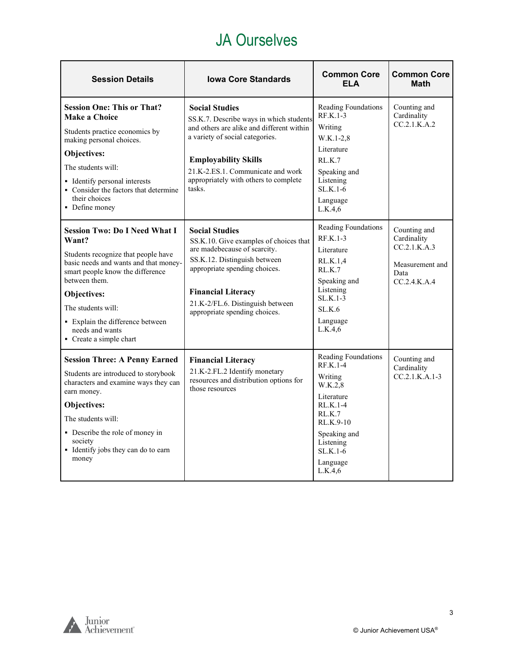#### JA Ourselves

<span id="page-2-0"></span>

| <b>Session Details</b>                                                                                                                                                                                                                                                                                    | <b>Iowa Core Standards</b>                                                                                                                                                                                                                                              | <b>Common Core</b><br><b>ELA</b>                                                                                                                                               | <b>Common Core</b><br><b>Math</b>                                                      |
|-----------------------------------------------------------------------------------------------------------------------------------------------------------------------------------------------------------------------------------------------------------------------------------------------------------|-------------------------------------------------------------------------------------------------------------------------------------------------------------------------------------------------------------------------------------------------------------------------|--------------------------------------------------------------------------------------------------------------------------------------------------------------------------------|----------------------------------------------------------------------------------------|
| <b>Session One: This or That?</b><br><b>Make a Choice</b><br>Students practice economics by<br>making personal choices.<br>Objectives:<br>The students will:<br>• Identify personal interests<br>• Consider the factors that determine<br>their choices<br>• Define money                                 | <b>Social Studies</b><br>SS.K.7. Describe ways in which students<br>and others are alike and different within<br>a variety of social categories.<br><b>Employability Skills</b><br>21.K-2.ES.1. Communicate and work<br>appropriately with others to complete<br>tasks. | Reading Foundations<br>$RF.K.1-3$<br>Writing<br>W.K.1-2,8<br>Literature<br>RLK.7<br>Speaking and<br>Listening<br>$SLK.1-6$<br>Language<br>L.K.4,6                              | Counting and<br>Cardinality<br>CC.2.1.K.A.2                                            |
| <b>Session Two: Do I Need What I</b><br>Want?<br>Students recognize that people have<br>basic needs and wants and that money-<br>smart people know the difference<br>between them.<br>Objectives:<br>The students will:<br>• Explain the difference between<br>needs and wants<br>• Create a simple chart | <b>Social Studies</b><br>SS.K.10. Give examples of choices that<br>are madebecause of scarcity.<br>SS.K.12. Distinguish between<br>appropriate spending choices.<br><b>Financial Literacy</b><br>21.K-2/FL.6. Distinguish between<br>appropriate spending choices.      | Reading Foundations<br>$RF.K.1-3$<br>Literature<br>RL.K.1,4<br>RLK.7<br>Speaking and<br>Listening<br>$SLK.1-3$<br>SL.K.6<br>Language<br>L.K.4.6                                | Counting and<br>Cardinality<br>CC.2.1.K.A.3<br>Measurement and<br>Data<br>CC.2.4.K.A.4 |
| <b>Session Three: A Penny Earned</b><br>Students are introduced to storybook<br>characters and examine ways they can<br>earn money.<br>Objectives:<br>The students will:<br>• Describe the role of money in<br>society<br>• Identify jobs they can do to earn<br>money                                    | <b>Financial Literacy</b><br>21.K-2.FL.2 Identify monetary<br>resources and distribution options for<br>those resources                                                                                                                                                 | Reading Foundations<br><b>RF.K.1-4</b><br>Writing<br>W.K.2,8<br>Literature<br>RL.K.1-4<br>RL.K.7<br>RL.K.9-10<br>Speaking and<br>Listening<br>$SLK.1-6$<br>Language<br>L.K.4.6 | Counting and<br>Cardinality<br>$CC.2.1.K.A.1-3$                                        |

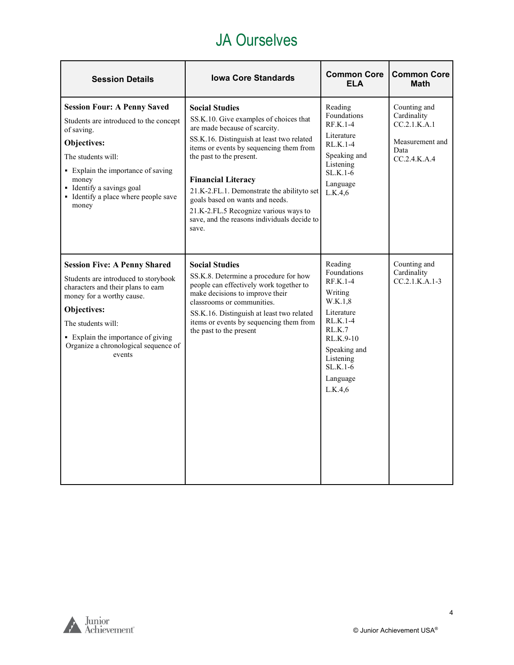#### JA Ourselves

| <b>Session Details</b>                                                                                                                                                                                                                                                      | <b>Iowa Core Standards</b>                                                                                                                                                                                                                                                                                                                                                                                                           | <b>Common Core</b><br><b>ELA</b>                                                                                                                                             | <b>Common Core</b><br><b>Math</b>                                                      |
|-----------------------------------------------------------------------------------------------------------------------------------------------------------------------------------------------------------------------------------------------------------------------------|--------------------------------------------------------------------------------------------------------------------------------------------------------------------------------------------------------------------------------------------------------------------------------------------------------------------------------------------------------------------------------------------------------------------------------------|------------------------------------------------------------------------------------------------------------------------------------------------------------------------------|----------------------------------------------------------------------------------------|
| <b>Session Four: A Penny Saved</b><br>Students are introduced to the concept<br>of saving.<br>Objectives:<br>The students will:<br>• Explain the importance of saving<br>money<br>• Identify a savings goal<br>• Identify a place where people save<br>money                | <b>Social Studies</b><br>SS.K.10. Give examples of choices that<br>are made because of scarcity.<br>SS.K.16. Distinguish at least two related<br>items or events by sequencing them from<br>the past to the present.<br><b>Financial Literacy</b><br>21.K-2.FL.1. Demonstrate the ability to set<br>goals based on wants and needs.<br>21.K-2.FL.5 Recognize various ways to<br>save, and the reasons individuals decide to<br>save. | Reading<br>Foundations<br>$RFK.1-4$<br>Literature<br>$RL.K.1-4$<br>Speaking and<br>Listening<br>$SLK.1-6$<br>Language<br>L.K.4.6                                             | Counting and<br>Cardinality<br>CC.2.1.K.A.1<br>Measurement and<br>Data<br>CC.2.4.K.A.4 |
| <b>Session Five: A Penny Shared</b><br>Students are introduced to storybook<br>characters and their plans to earn<br>money for a worthy cause.<br>Objectives:<br>The students will:<br>• Explain the importance of giving<br>Organize a chronological sequence of<br>events | <b>Social Studies</b><br>SS.K.8. Determine a procedure for how<br>people can effectively work together to<br>make decisions to improve their<br>classrooms or communities.<br>SS.K.16. Distinguish at least two related<br>items or events by sequencing them from<br>the past to the present                                                                                                                                        | Reading<br>Foundations<br>$RF.K.1-4$<br>Writing<br>W.K.1,8<br>Literature<br>RL.K.1-4<br>RL.K.7<br>RL.K.9-10<br>Speaking and<br>Listening<br>$SLK.1-6$<br>Language<br>L.K.4.6 | Counting and<br>Cardinality<br>$CC.2.1.K.A.1-3$                                        |

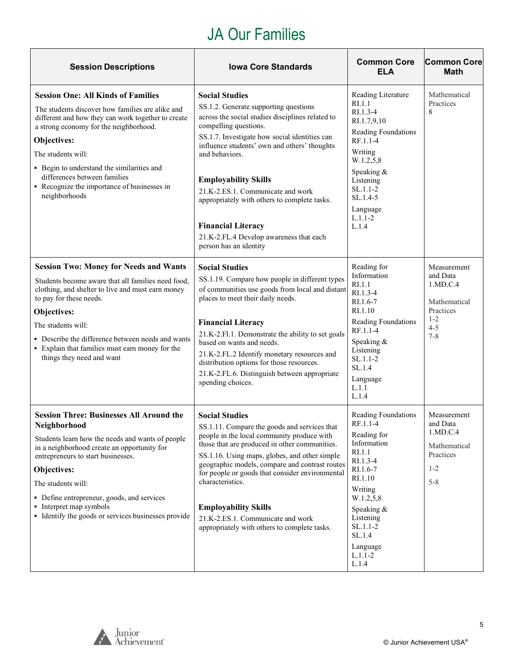## JA Our Families

<span id="page-4-0"></span>

| <b>Session Descriptions</b>                                                                                                                                                                                                                                                                                                                                                          | <b>Iowa Core Standards</b>                                                                                                                                                                                                                                                                                                                                                                                                                                                           | <b>Common Core</b><br><b>ELA</b>                                                                                                                                                                                          | <b>Common Core</b><br><b>Math</b>                                                                 |
|--------------------------------------------------------------------------------------------------------------------------------------------------------------------------------------------------------------------------------------------------------------------------------------------------------------------------------------------------------------------------------------|--------------------------------------------------------------------------------------------------------------------------------------------------------------------------------------------------------------------------------------------------------------------------------------------------------------------------------------------------------------------------------------------------------------------------------------------------------------------------------------|---------------------------------------------------------------------------------------------------------------------------------------------------------------------------------------------------------------------------|---------------------------------------------------------------------------------------------------|
| <b>Session One: All Kinds of Families</b><br>The students discover how families are alike and<br>different and how they can work together to create<br>a strong economy for the neighborhood.<br>Objectives:<br>The students will:<br>• Begin to understand the similarities and<br>differences between families<br>• Recognize the importance of businesses in<br>neighborhoods     | <b>Social Studies</b><br>SS.1.2. Generate supporting questions<br>across the social studies disciplines related to<br>compelling questions.<br>SS.1.7. Investigate how social identities can<br>influence students' own and others' thoughts<br>and behaviors.<br><b>Employability Skills</b><br>21.K-2.ES.1. Communicate and work<br>appropriately with others to complete tasks.<br><b>Financial Literacy</b><br>21.K-2.FL.4 Develop awareness that each<br>person has an identity | Reading Literature<br>RI.1.1<br>RI.1.3-4<br>RI.1.7,9,10<br>Reading Foundations<br>RF.1.1-4<br>Writing<br>W.1.2,5,8<br>Speaking &<br>Listening<br>$SL.1.1-2$<br>SL.1.4-5<br>Language<br>$L.1.1 - 2$<br>L.1.4               | Mathematical<br>Practices<br>8                                                                    |
| <b>Session Two: Money for Needs and Wants</b><br>Students become aware that all families need food,<br>clothing, and shelter to live and must earn money<br>to pay for these needs.<br>Objectives:<br>The students will:<br>• Describe the difference between needs and wants<br>• Explain that families must earn money for the<br>things they need and want                        | <b>Social Studies</b><br>SS.1.19. Compare how people in different types<br>of communities use goods from local and distant<br>places to meet their daily needs.<br><b>Financial Literacy</b><br>21.K-2.Fl.1. Demonstrate the ability to set goals<br>based on wants and needs.<br>21.K-2.FL.2 Identify monetary resources and<br>distribution options for those resources.<br>21.K-2.FL.6. Distinguish between appropriate<br>spending choices.                                      | Reading for<br>Information<br>RI.1.1<br>RI.1.3-4<br>RI.1.6-7<br>RI.1.10<br>Reading Foundations<br>RF.1.1-4<br>Speaking &<br>Listening<br>$SL.1.1-2$<br>SL.1.4<br>Language<br>L.1.1<br>L.1.4                               | Measurement<br>and Data<br>1.MD.C.4<br>Mathematical<br>Practices<br>$1 - 2$<br>$4 - 5$<br>$7 - 8$ |
| <b>Session Three: Businesses All Around the</b><br><b>Neighborhood</b><br>Students learn how the needs and wants of people<br>in a neighborhood create an opportunity for<br>entrepreneurs to start businesses.<br>Objectives:<br>The students will:<br>• Define entrepreneur, goods, and services<br>• Interpret map symbols<br>• Identify the goods or services businesses provide | <b>Social Studies</b><br>SS.1.11. Compare the goods and services that<br>people in the local community produce with<br>those that are produced in other communities.<br>SS.1.16. Using maps, globes, and other simple<br>geographic models, compare and contrast routes<br>for people or goods that consider environmental<br>characteristics.<br><b>Employability Skills</b><br>21.K-2.ES.1. Communicate and work<br>appropriately with others to complete tasks.                   | Reading Foundations<br>RF.1.1-4<br>Reading for<br>Information<br>RI.1.1<br>RI.1.3-4<br>RI.1.6-7<br>RI.1.10<br>Writing<br>W.1.2,5,8<br>Speaking &<br>Listening<br>$SL.1.1-2$<br>SL.1.4<br>Language<br>$L.1.1 - 2$<br>L.1.4 | Measurement<br>and Data<br>1.MD.C.4<br>Mathematical<br>Practices<br>$1 - 2$<br>$5 - 8$            |

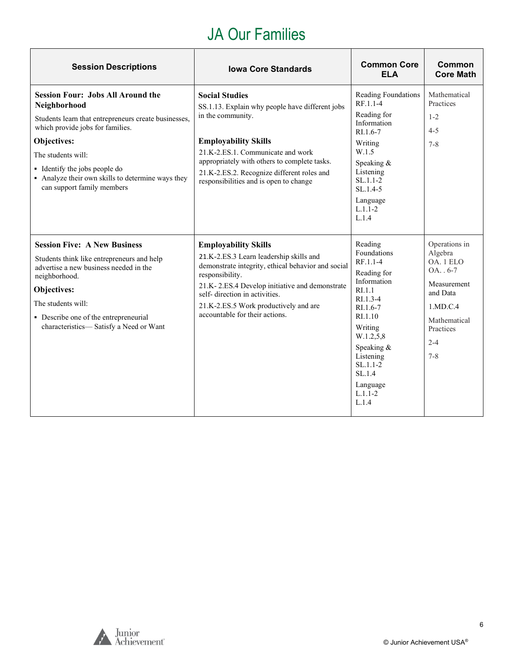### JA Our Families

| <b>Session Descriptions</b>                                                                                                                                                                                                                                                                                   | <b>Iowa Core Standards</b>                                                                                                                                                                                                                                                                                    | <b>Common Core</b><br><b>ELA</b>                                                                                                                                                                                                                | <b>Common</b><br><b>Core Math</b>                                                                                                              |
|---------------------------------------------------------------------------------------------------------------------------------------------------------------------------------------------------------------------------------------------------------------------------------------------------------------|---------------------------------------------------------------------------------------------------------------------------------------------------------------------------------------------------------------------------------------------------------------------------------------------------------------|-------------------------------------------------------------------------------------------------------------------------------------------------------------------------------------------------------------------------------------------------|------------------------------------------------------------------------------------------------------------------------------------------------|
| <b>Session Four: Jobs All Around the</b><br>Neighborhood<br>Students learn that entrepreneurs create businesses,<br>which provide jobs for families.<br>Objectives:<br>The students will:<br>• Identify the jobs people do<br>• Analyze their own skills to determine ways they<br>can support family members | <b>Social Studies</b><br>SS.1.13. Explain why people have different jobs<br>in the community.<br><b>Employability Skills</b><br>21.K-2.ES.1. Communicate and work<br>appropriately with others to complete tasks.<br>21.K-2.ES.2. Recognize different roles and<br>responsibilities and is open to change     | Reading Foundations<br>RF.1.1-4<br>Reading for<br>Information<br>RI.1.6-7<br>Writing<br>W.1.5<br>Speaking $&$<br>Listening<br>$SL.1.1-2$<br>$SL.1.4-5$<br>Language<br>$L.1.1 - 2$<br>L.1.4                                                      | Mathematical<br>Practices<br>$1 - 2$<br>$4 - 5$<br>$7 - 8$                                                                                     |
| <b>Session Five: A New Business</b><br>Students think like entrepreneurs and help<br>advertise a new business needed in the<br>neighborhood.<br>Objectives:<br>The students will:<br>• Describe one of the entrepreneurial<br>characteristics-Satisfy a Need or Want                                          | <b>Employability Skills</b><br>21.K-2.ES.3 Learn leadership skills and<br>demonstrate integrity, ethical behavior and social<br>responsibility.<br>21.K-2.ES.4 Develop initiative and demonstrate<br>self-direction in activities.<br>21.K-2.ES.5 Work productively and are<br>accountable for their actions. | Reading<br><b>Foundations</b><br>RF.1.1-4<br>Reading for<br>Information<br>R <sub>L</sub> 1.1<br>RI.1.3-4<br>RI.1.6-7<br>RI.1.10<br>Writing<br>W.1.2,5,8<br>Speaking &<br>Listening<br>$SL.1.1-2$<br>SL.1.4<br>Language<br>$L.1.1 - 2$<br>L.1.4 | Operations in<br>Algebra<br>OA. 1 ELO<br>$OA. . 6-7$<br>Measurement<br>and Data<br>1.MD.C.4<br>Mathematical<br>Practices<br>$2 - 4$<br>$7 - 8$ |

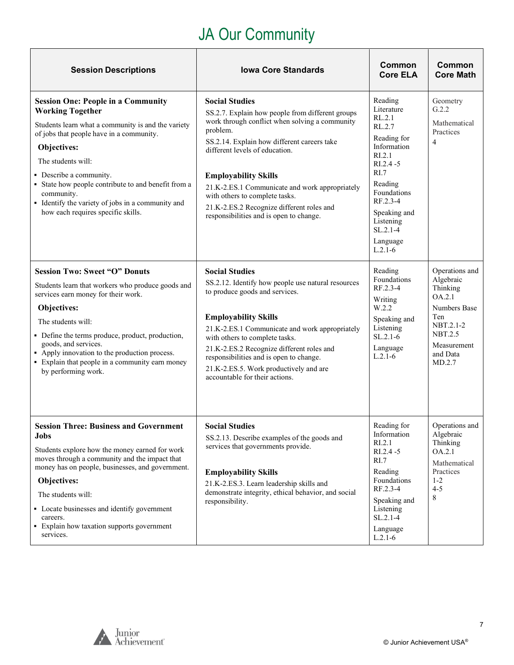# JA Our Community

 $\top$ 

 $\overline{\phantom{a}}$ 

<span id="page-6-0"></span>

| <b>Session Descriptions</b>                                                                                                                                                                                                                                                                                                                                                                            | <b>Iowa Core Standards</b>                                                                                                                                                                                                                                                                                                                                                                                                          | Common<br><b>Core ELA</b>                                                                                                                                                                                             | Common<br><b>Core Math</b>                                                                                                                          |
|--------------------------------------------------------------------------------------------------------------------------------------------------------------------------------------------------------------------------------------------------------------------------------------------------------------------------------------------------------------------------------------------------------|-------------------------------------------------------------------------------------------------------------------------------------------------------------------------------------------------------------------------------------------------------------------------------------------------------------------------------------------------------------------------------------------------------------------------------------|-----------------------------------------------------------------------------------------------------------------------------------------------------------------------------------------------------------------------|-----------------------------------------------------------------------------------------------------------------------------------------------------|
| <b>Session One: People in a Community</b><br><b>Working Together</b><br>Students learn what a community is and the variety<br>of jobs that people have in a community.<br>Objectives:<br>The students will:<br>• Describe a community.<br>• State how people contribute to and benefit from a<br>community.<br>• Identify the variety of jobs in a community and<br>how each requires specific skills. | <b>Social Studies</b><br>SS.2.7. Explain how people from different groups<br>work through conflict when solving a community<br>problem.<br>SS.2.14. Explain how different careers take<br>different levels of education.<br><b>Employability Skills</b><br>21.K-2.ES.1 Communicate and work appropriately<br>with others to complete tasks.<br>21.K-2.ES.2 Recognize different roles and<br>responsibilities and is open to change. | Reading<br>Literature<br>RL.2.1<br>RL.2.7<br>Reading for<br>Information<br>R1.2.1<br>$RI.2.4 - 5$<br>RI.7<br>Reading<br>Foundations<br>RF.2.3-4<br>Speaking and<br>Listening<br>$SL.2.1 - 4$<br>Language<br>$L.2.1-6$ | Geometry<br>G.2.2<br>Mathematical<br>Practices<br>$\overline{4}$                                                                                    |
| <b>Session Two: Sweet "O" Donuts</b><br>Students learn that workers who produce goods and<br>services earn money for their work.<br>Objectives:<br>The students will:<br>• Define the terms produce, product, production,<br>goods, and services.<br>• Apply innovation to the production process.<br>• Explain that people in a community earn money<br>by performing work.                           | <b>Social Studies</b><br>SS.2.12. Identify how people use natural resources<br>to produce goods and services.<br><b>Employability Skills</b><br>21.K-2.ES.1 Communicate and work appropriately<br>with others to complete tasks.<br>21.K-2.ES.2 Recognize different roles and<br>responsibilities and is open to change.<br>21.K-2.ES.5. Work productively and are<br>accountable for their actions.                                | Reading<br>Foundations<br>RF.2.3-4<br>Writing<br>W.2.2<br>Speaking and<br>Listening<br>$SL.2.1-6$<br>Language<br>$L.2.1-6$                                                                                            | Operations and<br>Algebraic<br>Thinking<br>OA.2.1<br><b>Numbers Base</b><br>Ten<br>NBT.2.1-2<br><b>NBT.2.5</b><br>Measurement<br>and Data<br>MD.2.7 |
| <b>Session Three: Business and Government</b><br><b>Jobs</b><br>Students explore how the money earned for work<br>moves through a community and the impact that<br>money has on people, businesses, and government.<br>Objectives:<br>The students will:<br>• Locate businesses and identify government<br>careers.<br>• Explain how taxation supports government<br>services.                         | <b>Social Studies</b><br>SS.2.13. Describe examples of the goods and<br>services that governments provide.<br><b>Employability Skills</b><br>21.K-2.ES.3. Learn leadership skills and<br>demonstrate integrity, ethical behavior, and social<br>responsibility.                                                                                                                                                                     | Reading for<br>Information<br>RI.2.1<br>$RI.2.4 - 5$<br>RI.7<br>Reading<br>Foundations<br>RF.2.3-4<br>Speaking and<br>Listening<br>$SL.2.1-4$<br>Language<br>$L.2.1-6$                                                | Operations and<br>Algebraic<br>Thinking<br>OA.2.1<br>Mathematical<br>Practices<br>$1 - 2$<br>$4 - 5$<br>8                                           |



 $\Gamma$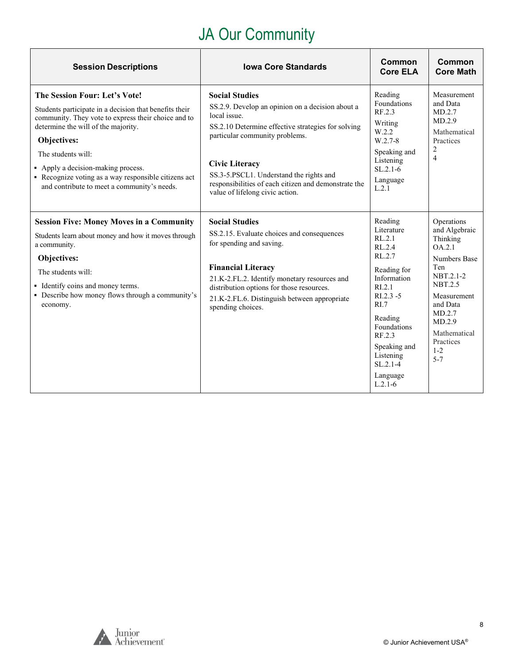# JA Our Community

| <b>Session Descriptions</b>                                                                                                                                                                                                                                                                                                                                                    | <b>Iowa Core Standards</b>                                                                                                                                                                                                                                                                                                                       | Common<br><b>Core ELA</b>                                                                                                                                                                                                                           | Common<br><b>Core Math</b>                                                                                                                                                                                       |
|--------------------------------------------------------------------------------------------------------------------------------------------------------------------------------------------------------------------------------------------------------------------------------------------------------------------------------------------------------------------------------|--------------------------------------------------------------------------------------------------------------------------------------------------------------------------------------------------------------------------------------------------------------------------------------------------------------------------------------------------|-----------------------------------------------------------------------------------------------------------------------------------------------------------------------------------------------------------------------------------------------------|------------------------------------------------------------------------------------------------------------------------------------------------------------------------------------------------------------------|
| The Session Four: Let's Vote!<br>Students participate in a decision that benefits their<br>community. They vote to express their choice and to<br>determine the will of the majority.<br><b>Objectives:</b><br>The students will:<br>• Apply a decision-making process.<br>• Recognize voting as a way responsible citizens act<br>and contribute to meet a community's needs. | <b>Social Studies</b><br>SS.2.9. Develop an opinion on a decision about a<br>local issue.<br>SS.2.10 Determine effective strategies for solving<br>particular community problems.<br><b>Civic Literacy</b><br>SS.3-5.PSCL1. Understand the rights and<br>responsibilities of each citizen and demonstrate the<br>value of lifelong civic action. | Reading<br>Foundations<br>RF.2.3<br>Writing<br>W.2.2<br>$W.2.7-8$<br>Speaking and<br>Listening<br>$SL.2.1-6$<br>Language<br>L.2.1                                                                                                                   | Measurement<br>and Data<br>MD.2.7<br>MD.2.9<br>Mathematical<br>Practices<br>$\overline{c}$<br>$\overline{4}$                                                                                                     |
| <b>Session Five: Money Moves in a Community</b><br>Students learn about money and how it moves through<br>a community.<br>Objectives:<br>The students will:<br>• Identify coins and money terms.<br>• Describe how money flows through a community's<br>economy.                                                                                                               | <b>Social Studies</b><br>SS.2.15. Evaluate choices and consequences<br>for spending and saving.<br><b>Financial Literacy</b><br>21.K-2.FL.2. Identify monetary resources and<br>distribution options for those resources.<br>21.K-2.FL.6. Distinguish between appropriate<br>spending choices.                                                   | Reading<br>Literature<br>RL.2.1<br>RL.2.4<br>RL.2.7<br>Reading for<br>Information<br>R <sub>L</sub> 2.1<br>$RI.2.3 - 5$<br>R <sub>L</sub><br>Reading<br>Foundations<br>RF.2.3<br>Speaking and<br>Listening<br>$SL.2.1 - 4$<br>Language<br>$L.2.1-6$ | Operations<br>and Algebraic<br>Thinking<br>OA.2.1<br><b>Numbers Base</b><br>Ten<br>NBT.2.1-2<br><b>NBT.2.5</b><br>Measurement<br>and Data<br>MD.2.7<br>MD.2.9<br>Mathematical<br>Practices<br>$1 - 2$<br>$5 - 7$ |

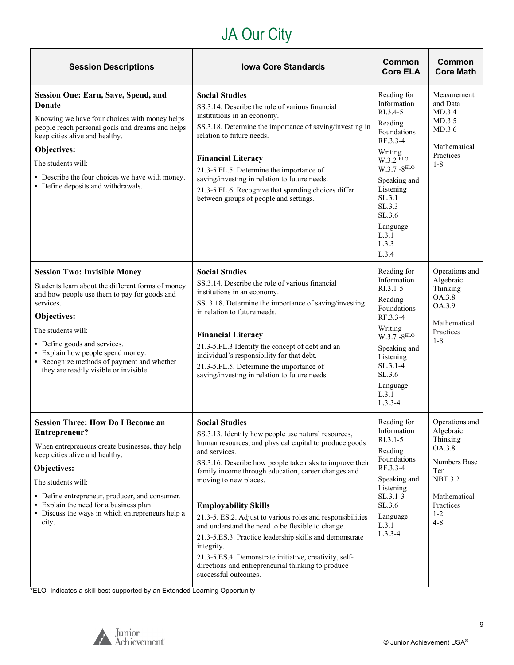# JA Our City

| <b>Session Descriptions</b>                                                                                                                                                                                                                                                                                                                             | <b>Iowa Core Standards</b>                                                                                                                                                                                                                                                                                                                                                                                                                                                                                                                                                                                                                                             | Common<br><b>Core ELA</b>                                                                                                                                                                                                   | Common<br><b>Core Math</b>                                                                                                                    |
|---------------------------------------------------------------------------------------------------------------------------------------------------------------------------------------------------------------------------------------------------------------------------------------------------------------------------------------------------------|------------------------------------------------------------------------------------------------------------------------------------------------------------------------------------------------------------------------------------------------------------------------------------------------------------------------------------------------------------------------------------------------------------------------------------------------------------------------------------------------------------------------------------------------------------------------------------------------------------------------------------------------------------------------|-----------------------------------------------------------------------------------------------------------------------------------------------------------------------------------------------------------------------------|-----------------------------------------------------------------------------------------------------------------------------------------------|
| Session One: Earn, Save, Spend, and<br><b>Donate</b><br>Knowing we have four choices with money helps<br>people reach personal goals and dreams and helps<br>keep cities alive and healthy.<br>Objectives:<br>The students will:<br>• Describe the four choices we have with money.<br>• Define deposits and withdrawals.                               | <b>Social Studies</b><br>SS.3.14. Describe the role of various financial<br>institutions in an economy.<br>SS.3.18. Determine the importance of saving/investing in<br>relation to future needs.<br><b>Financial Literacy</b><br>21.3-5 FL.5. Determine the importance of<br>saving/investing in relation to future needs.<br>21.3-5 FL.6. Recognize that spending choices differ<br>between groups of people and settings.                                                                                                                                                                                                                                            | Reading for<br>Information<br>RI.3.4-5<br>Reading<br>Foundations<br>RF.3.3-4<br>Writing<br>W.3.2 ELO<br>$W.3.7 - 8^{ELO}$<br>Speaking and<br>Listening<br>SL.3.1<br>SL.3.3<br>SL.3.6<br>Language<br>L.3.1<br>L.3.3<br>L.3.4 | Measurement<br>and Data<br>MD.3.4<br>MD.3.5<br>MD.3.6<br>Mathematical<br>Practices<br>$1 - 8$                                                 |
| <b>Session Two: Invisible Money</b><br>Students learn about the different forms of money<br>and how people use them to pay for goods and<br>services.<br>Objectives:<br>The students will:<br>• Define goods and services.<br>• Explain how people spend money.<br>• Recognize methods of payment and whether<br>they are readily visible or invisible. | <b>Social Studies</b><br>SS.3.14. Describe the role of various financial<br>institutions in an economy.<br>SS. 3.18. Determine the importance of saving/investing<br>in relation to future needs.<br><b>Financial Literacy</b><br>21.3-5.FL.3 Identify the concept of debt and an<br>individual's responsibility for that debt.<br>21.3-5.FL.5. Determine the importance of<br>saving/investing in relation to future needs                                                                                                                                                                                                                                            | Reading for<br>Information<br>$RI.3.1 - 5$<br>Reading<br>Foundations<br>RF.3.3-4<br>Writing<br>$W.3.7 - 8ELO$<br>Speaking and<br>Listening<br>SL.3.1-4<br>SL.3.6<br>Language<br>L.3.1<br>$L.3.3-4$                          | Operations and<br>Algebraic<br>Thinking<br>OA.3.8<br>OA.3.9<br>Mathematical<br>Practices<br>$1 - 8$                                           |
| <b>Session Three: How Do I Become an</b><br>Entrepreneur?<br>When entrepreneurs create businesses, they help<br>keep cities alive and healthy.<br>Objectives:<br>The students will:<br>• Define entrepreneur, producer, and consumer.<br>• Explain the need for a business plan.<br>• Discuss the ways in which entrepreneurs help a<br>city.           | <b>Social Studies</b><br>SS.3.13. Identify how people use natural resources,<br>human resources, and physical capital to produce goods<br>and services.<br>SS.3.16. Describe how people take risks to improve their<br>family income through education, career changes and<br>moving to new places.<br><b>Employability Skills</b><br>21.3-5. ES.2. Adjust to various roles and responsibilities<br>and understand the need to be flexible to change.<br>21.3-5.ES.3. Practice leadership skills and demonstrate<br>integrity.<br>21.3-5.ES.4. Demonstrate initiative, creativity, self-<br>directions and entrepreneurial thinking to produce<br>successful outcomes. | Reading for<br>Information<br>$RI.3.1-5$<br>Reading<br>Foundations<br>RF.3.3-4<br>Speaking and<br>Listening<br>$SL.3.1-3$<br>SL.3.6<br>Language<br>L.3.1<br>$L.3.3-4$                                                       | Operations and<br>Algebraic<br>Thinking<br>OA.3.8<br>Numbers Base<br>Ten<br><b>NBT.3.2</b><br>Mathematical<br>Practices<br>$1 - 2$<br>$4 - 8$ |

\*ELO- Indicates a skill best supported by an Extended Learning Opportunity



 $\overline{\mathbf{r}}$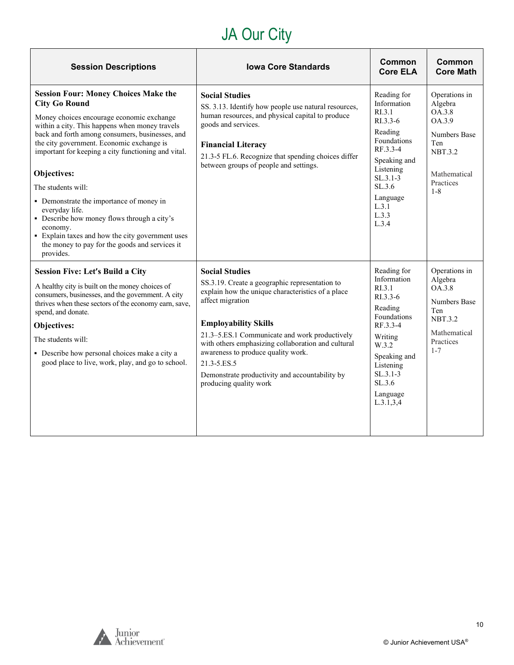# JA Our City

| <b>Session Descriptions</b>                                                                                                                                                                                                                                                                                                                                                                                                                                                                                                                                                                                | <b>Iowa Core Standards</b>                                                                                                                                                                                                                                                                                                                                                                                              | Common<br><b>Core ELA</b>                                                                                                                                                                        | <b>Common</b><br><b>Core Math</b>                                                                                             |
|------------------------------------------------------------------------------------------------------------------------------------------------------------------------------------------------------------------------------------------------------------------------------------------------------------------------------------------------------------------------------------------------------------------------------------------------------------------------------------------------------------------------------------------------------------------------------------------------------------|-------------------------------------------------------------------------------------------------------------------------------------------------------------------------------------------------------------------------------------------------------------------------------------------------------------------------------------------------------------------------------------------------------------------------|--------------------------------------------------------------------------------------------------------------------------------------------------------------------------------------------------|-------------------------------------------------------------------------------------------------------------------------------|
| <b>Session Four: Money Choices Make the</b><br><b>City Go Round</b><br>Money choices encourage economic exchange<br>within a city. This happens when money travels<br>back and forth among consumers, businesses, and<br>the city government. Economic exchange is<br>important for keeping a city functioning and vital.<br>Objectives:<br>The students will:<br>• Demonstrate the importance of money in<br>everyday life.<br>• Describe how money flows through a city's<br>economy.<br>• Explain taxes and how the city government uses<br>the money to pay for the goods and services it<br>provides. | <b>Social Studies</b><br>SS. 3.13. Identify how people use natural resources,<br>human resources, and physical capital to produce<br>goods and services.<br><b>Financial Literacy</b><br>21.3-5 FL.6. Recognize that spending choices differ<br>between groups of people and settings.                                                                                                                                  | Reading for<br>Information<br>R <sub>L</sub> 3.1<br>$R1.3.3-6$<br>Reading<br>Foundations<br>RF.3.3-4<br>Speaking and<br>Listening<br>$SL.3.1-3$<br>SL.3.6<br>Language<br>L.3.1<br>L.3.3<br>L.3.4 | Operations in<br>Algebra<br>OA.3.8<br>OA.3.9<br>Numbers Base<br>Ten<br><b>NBT.3.2</b><br>Mathematical<br>Practices<br>$1 - 8$ |
| <b>Session Five: Let's Build a City</b><br>A healthy city is built on the money choices of<br>consumers, businesses, and the government. A city<br>thrives when these sectors of the economy earn, save,<br>spend, and donate.<br>Objectives:<br>The students will:<br>• Describe how personal choices make a city a<br>good place to live, work, play, and go to school.                                                                                                                                                                                                                                  | <b>Social Studies</b><br>SS.3.19. Create a geographic representation to<br>explain how the unique characteristics of a place<br>affect migration<br><b>Employability Skills</b><br>21.3–5.ES.1 Communicate and work productively<br>with others emphasizing collaboration and cultural<br>awareness to produce quality work.<br>21.3-5.ES.5<br>Demonstrate productivity and accountability by<br>producing quality work | Reading for<br>Information<br>RI.3.1<br>$R1.3.3-6$<br>Reading<br>Foundations<br>RF.3.3-4<br>Writing<br>W.3.2<br>Speaking and<br>Listening<br>$SL.3.1-3$<br>SL.3.6<br>Language<br>L.3.1, 3, 4     | Operations in<br>Algebra<br>OA.3.8<br>Numbers Base<br>Ten<br><b>NBT.3.2</b><br>Mathematical<br>Practices<br>$1 - 7$           |

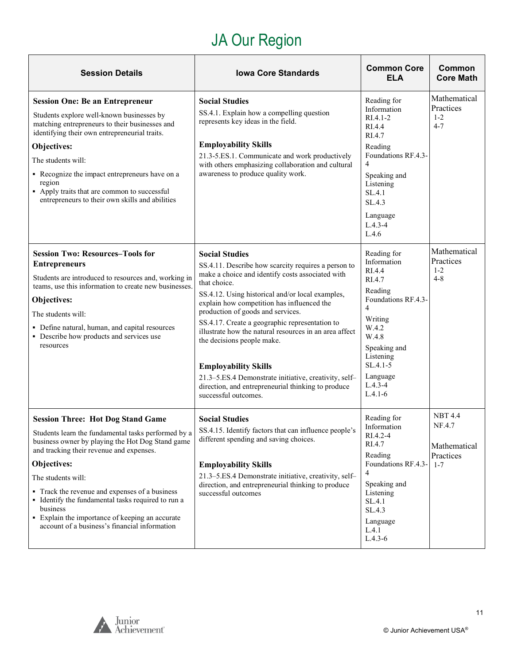# JA Our Region

<span id="page-10-0"></span>

| <b>Session Details</b>                                                                                                                                                                                                                                                                                                                                                                                                                                       | <b>Iowa Core Standards</b>                                                                                                                                                                                                                                                                                                                                                                                                                                                                                                                                                                              | <b>Common Core</b><br><b>ELA</b>                                                                                                                                                                                   | Common<br><b>Core Math</b>                                       |
|--------------------------------------------------------------------------------------------------------------------------------------------------------------------------------------------------------------------------------------------------------------------------------------------------------------------------------------------------------------------------------------------------------------------------------------------------------------|---------------------------------------------------------------------------------------------------------------------------------------------------------------------------------------------------------------------------------------------------------------------------------------------------------------------------------------------------------------------------------------------------------------------------------------------------------------------------------------------------------------------------------------------------------------------------------------------------------|--------------------------------------------------------------------------------------------------------------------------------------------------------------------------------------------------------------------|------------------------------------------------------------------|
| <b>Session One: Be an Entrepreneur</b><br>Students explore well-known businesses by<br>matching entrepreneurs to their businesses and<br>identifying their own entrepreneurial traits.<br>Objectives:<br>The students will:<br>• Recognize the impact entrepreneurs have on a<br>region<br>• Apply traits that are common to successful<br>entrepreneurs to their own skills and abilities                                                                   | <b>Social Studies</b><br>SS.4.1. Explain how a compelling question<br>represents key ideas in the field.<br><b>Employability Skills</b><br>21.3-5.ES.1. Communicate and work productively<br>with others emphasizing collaboration and cultural<br>awareness to produce quality work.                                                                                                                                                                                                                                                                                                                   | Reading for<br>Information<br>$RIA.1-2$<br>RI.4.4<br>RI.4.7<br>Reading<br>Foundations RF.4.3-<br>$\overline{4}$<br>Speaking and<br>Listening<br>SL.4.1<br>SL.4.3<br>Language<br>$L.4.3 - 4$<br>L.4.6               | Mathematical<br>Practices<br>$1 - 2$<br>$4 - 7$                  |
| <b>Session Two: Resources-Tools for</b><br><b>Entrepreneurs</b><br>Students are introduced to resources and, working in<br>teams, use this information to create new businesses.<br>Objectives:<br>The students will:<br>• Define natural, human, and capital resources<br>• Describe how products and services use<br>resources                                                                                                                             | <b>Social Studies</b><br>SS.4.11. Describe how scarcity requires a person to<br>make a choice and identify costs associated with<br>that choice.<br>SS.4.12. Using historical and/or local examples,<br>explain how competition has influenced the<br>production of goods and services.<br>SS.4.17. Create a geographic representation to<br>illustrate how the natural resources in an area affect<br>the decisions people make.<br><b>Employability Skills</b><br>21.3-5.ES.4 Demonstrate initiative, creativity, self-<br>direction, and entrepreneurial thinking to produce<br>successful outcomes. | Reading for<br>Information<br>RI.4.4<br>RI.4.7<br>Reading<br>Foundations RF.4.3-<br>$\overline{4}$<br>Writing<br>W.4.2<br>W.4.8<br>Speaking and<br>Listening<br>$SL.4.1-5$<br>Language<br>$L.4.3 - 4$<br>$L.4.1-6$ | Mathematical<br>Practices<br>$1 - 2$<br>$4 - 8$                  |
| <b>Session Three: Hot Dog Stand Game</b><br>Students learn the fundamental tasks performed by a<br>business owner by playing the Hot Dog Stand game<br>and tracking their revenue and expenses.<br>Objectives:<br>The students will:<br>• Track the revenue and expenses of a business<br>• Identify the fundamental tasks required to run a<br>business<br>• Explain the importance of keeping an accurate<br>account of a business's financial information | <b>Social Studies</b><br>SS.4.15. Identify factors that can influence people's<br>different spending and saving choices.<br><b>Employability Skills</b><br>21.3–5.ES.4 Demonstrate initiative, creativity, self-<br>direction, and entrepreneurial thinking to produce<br>successful outcomes                                                                                                                                                                                                                                                                                                           | Reading for<br>Information<br>RI.4.2-4<br>RI.4.7<br>Reading<br>Foundations RF.4.3-<br>4<br>Speaking and<br>Listening<br>SL.4.1<br>SL.4.3<br>Language<br>L.4.1<br>$L.4.3-6$                                         | <b>NBT 4.4</b><br>NF.4.7<br>Mathematical<br>Practices<br>$1 - 7$ |

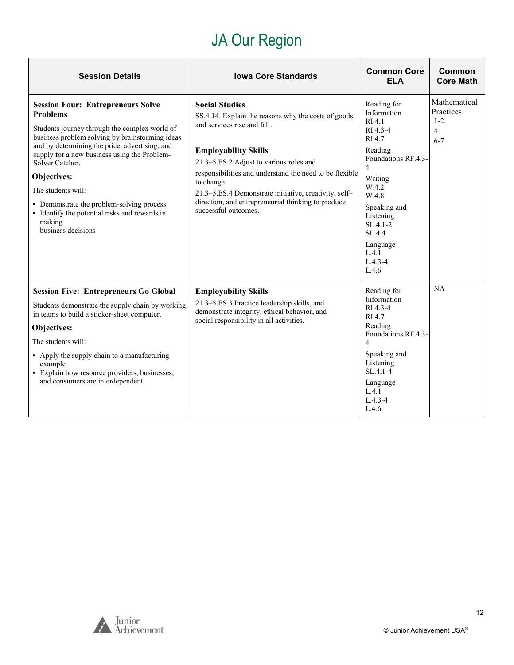# JA Our Region

| <b>Session Details</b>                                                                                                                                                                                                                                                                                                                                                                                                                                         | <b>Iowa Core Standards</b>                                                                                                                                                                                                                                                                                                                                                                            | <b>Common Core</b><br><b>ELA</b>                                                                                                                                                                                                           | Common<br><b>Core Math</b>                                        |
|----------------------------------------------------------------------------------------------------------------------------------------------------------------------------------------------------------------------------------------------------------------------------------------------------------------------------------------------------------------------------------------------------------------------------------------------------------------|-------------------------------------------------------------------------------------------------------------------------------------------------------------------------------------------------------------------------------------------------------------------------------------------------------------------------------------------------------------------------------------------------------|--------------------------------------------------------------------------------------------------------------------------------------------------------------------------------------------------------------------------------------------|-------------------------------------------------------------------|
| <b>Session Four: Entrepreneurs Solve</b><br><b>Problems</b><br>Students journey through the complex world of<br>business problem solving by brainstorming ideas<br>and by determining the price, advertising, and<br>supply for a new business using the Problem-<br>Solver Catcher.<br><b>Objectives:</b><br>The students will:<br>• Demonstrate the problem-solving process<br>• Identify the potential risks and rewards in<br>making<br>business decisions | <b>Social Studies</b><br>SS.4.14. Explain the reasons why the costs of goods<br>and services rise and fall.<br><b>Employability Skills</b><br>21.3-5.ES.2 Adjust to various roles and<br>responsibilities and understand the need to be flexible<br>to change.<br>21.3-5.ES.4 Demonstrate initiative, creativity, self-<br>direction, and entrepreneurial thinking to produce<br>successful outcomes. | Reading for<br>Information<br>RIA.1<br>RI.4.3-4<br>RI.4.7<br>Reading<br>Foundations RF.4.3-<br>$\overline{4}$<br>Writing<br>W.4.2<br>W.4.8<br>Speaking and<br>Listening<br>SL.4.1-2<br>SL.4.4<br>Language<br>L.4.1<br>$L.4.3 - 4$<br>L.4.6 | Mathematical<br>Practices<br>$1 - 2$<br>$\overline{4}$<br>$6 - 7$ |
| <b>Session Five: Entrepreneurs Go Global</b><br>Students demonstrate the supply chain by working<br>in teams to build a sticker-sheet computer.<br>Objectives:<br>The students will:<br>• Apply the supply chain to a manufacturing<br>example<br>• Explain how resource providers, businesses,<br>and consumers are interdependent                                                                                                                            | <b>Employability Skills</b><br>21.3-5.ES.3 Practice leadership skills, and<br>demonstrate integrity, ethical behavior, and<br>social responsibility in all activities.                                                                                                                                                                                                                                | Reading for<br>Information<br>RI.4.3-4<br>RI.4.7<br>Reading<br>Foundations RF.4.3-<br>$\overline{4}$<br>Speaking and<br>Listening<br>$SL.4.1 - 4$<br>Language<br>L.4.1<br>$L.4.3 - 4$<br>L.4.6                                             | NA                                                                |

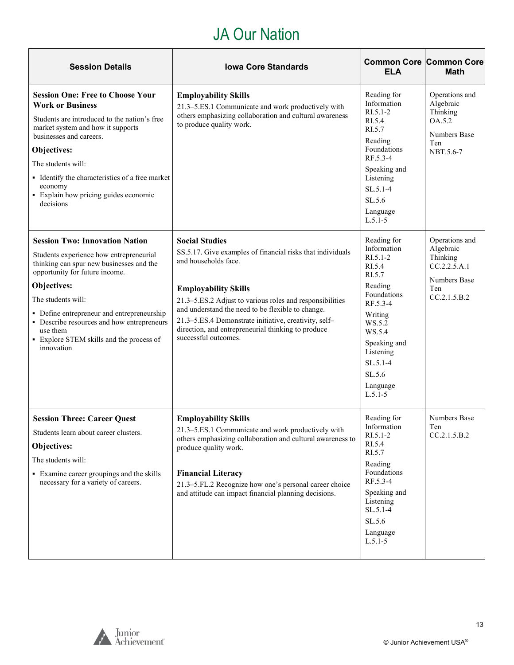## JA Our Nation

| <b>Session Details</b>                                                                                                                                                                                                                                                                                                                                                | <b>Iowa Core Standards</b>                                                                                                                                                                                                                                                                                                                                                                         | <b>Common Core Common Core</b><br><b>ELA</b>                                                                                                                                                                        | <b>Math</b>                                                                                    |
|-----------------------------------------------------------------------------------------------------------------------------------------------------------------------------------------------------------------------------------------------------------------------------------------------------------------------------------------------------------------------|----------------------------------------------------------------------------------------------------------------------------------------------------------------------------------------------------------------------------------------------------------------------------------------------------------------------------------------------------------------------------------------------------|---------------------------------------------------------------------------------------------------------------------------------------------------------------------------------------------------------------------|------------------------------------------------------------------------------------------------|
| <b>Session One: Free to Choose Your</b><br><b>Work or Business</b><br>Students are introduced to the nation's free<br>market system and how it supports<br>businesses and careers.<br>Objectives:<br>The students will:<br>• Identify the characteristics of a free market<br>economy<br>• Explain how pricing guides economic<br>decisions                           | <b>Employability Skills</b><br>21.3-5.ES.1 Communicate and work productively with<br>others emphasizing collaboration and cultural awareness<br>to produce quality work.                                                                                                                                                                                                                           | Reading for<br>Information<br>$R1.5.1-2$<br>RI.5.4<br>RI.5.7<br>Reading<br>Foundations<br>RF.5.3-4<br>Speaking and<br>Listening<br>$SL.5.1 - 4$<br>SL.5.6<br>Language<br>$L.5.1-5$                                  | Operations and<br>Algebraic<br>Thinking<br>OA.5.2<br><b>Numbers Base</b><br>Ten<br>NBT.5.6-7   |
| <b>Session Two: Innovation Nation</b><br>Students experience how entrepreneurial<br>thinking can spur new businesses and the<br>opportunity for future income.<br>Objectives:<br>The students will:<br>• Define entrepreneur and entrepreneurship<br>• Describe resources and how entrepreneurs<br>use them<br>• Explore STEM skills and the process of<br>innovation | <b>Social Studies</b><br>SS.5.17. Give examples of financial risks that individuals<br>and households face.<br><b>Employability Skills</b><br>21.3-5.ES.2 Adjust to various roles and responsibilities<br>and understand the need to be flexible to change.<br>21.3–5.ES.4 Demonstrate initiative, creativity, self-<br>direction, and entrepreneurial thinking to produce<br>successful outcomes. | Reading for<br>Information<br>$R1.5.1-2$<br>RI.5.4<br>RI.5.7<br>Reading<br>Foundations<br>RF.5.3-4<br>Writing<br>WS.5.2<br>WS.5.4<br>Speaking and<br>Listening<br>$SL.5.1 - 4$<br>SL.5.6<br>Language<br>$L.5.1 - 5$ | Operations and<br>Algebraic<br>Thinking<br>CC.2.2.5.A.1<br>Numbers Base<br>Ten<br>CC.2.1.5.B.2 |
| <b>Session Three: Career Quest</b><br>Students learn about career clusters.<br>Objectives:<br>The students will:<br>• Examine career groupings and the skills<br>necessary for a variety of careers.                                                                                                                                                                  | <b>Employability Skills</b><br>21.3-5.ES.1 Communicate and work productively with<br>others emphasizing collaboration and cultural awareness to<br>produce quality work.<br><b>Financial Literacy</b><br>21.3-5.FL.2 Recognize how one's personal career choice<br>and attitude can impact financial planning decisions.                                                                           | Reading for<br>Information<br>$RI.5.1-2$<br>RI.5.4<br>RI.5.7<br>Reading<br>Foundations<br>RF.5.3-4<br>Speaking and<br>Listening<br>$SL.5.1-4$<br>SL.5.6<br>Language<br>$L.5.1-5$                                    | <b>Numbers Base</b><br>Ten<br>CC.2.1.5.B.2                                                     |



 $\mathbf{r}$ 

'n,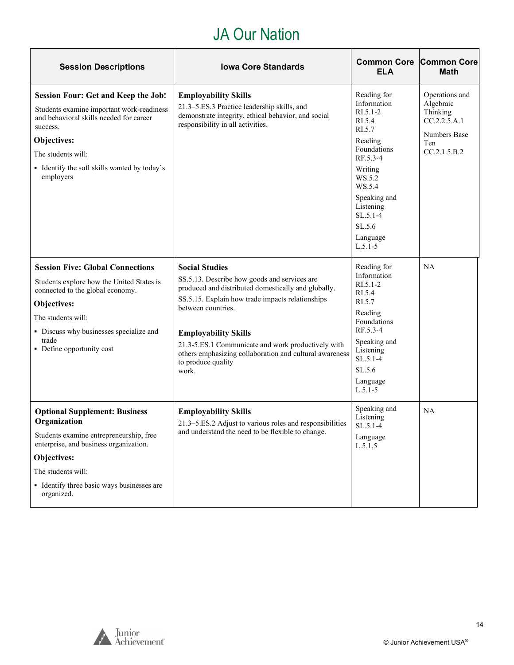## JA Our Nation

| <b>Session Descriptions</b>                                                                                                                                                                                                                      | <b>Iowa Core Standards</b>                                                                                                                                                                                                                                                                                                                                                            | <b>Common Core</b><br>ELA                                                                                                                                                                                           | <b>Common Core</b><br><b>Math</b>                                                              |
|--------------------------------------------------------------------------------------------------------------------------------------------------------------------------------------------------------------------------------------------------|---------------------------------------------------------------------------------------------------------------------------------------------------------------------------------------------------------------------------------------------------------------------------------------------------------------------------------------------------------------------------------------|---------------------------------------------------------------------------------------------------------------------------------------------------------------------------------------------------------------------|------------------------------------------------------------------------------------------------|
| <b>Session Four: Get and Keep the Job!</b><br>Students examine important work-readiness<br>and behavioral skills needed for career<br>success.<br>Objectives:<br>The students will:<br>• Identify the soft skills wanted by today's<br>employers | <b>Employability Skills</b><br>21.3-5.ES.3 Practice leadership skills, and<br>demonstrate integrity, ethical behavior, and social<br>responsibility in all activities.                                                                                                                                                                                                                | Reading for<br>Information<br>$RI.5.1 - 2$<br>RI.5.4<br>RI.5.7<br>Reading<br>Foundations<br>RF.5.3-4<br>Writing<br>WS.5.2<br>WS.5.4<br>Speaking and<br>Listening<br>$SL.5.1-4$<br>SL.5.6<br>Language<br>$L.5.1 - 5$ | Operations and<br>Algebraic<br>Thinking<br>CC.2.2.5.A.1<br>Numbers Base<br>Ten<br>CC.2.1.5.B.2 |
| <b>Session Five: Global Connections</b><br>Students explore how the United States is<br>connected to the global economy.<br>Objectives:<br>The students will:<br>• Discuss why businesses specialize and<br>trade<br>• Define opportunity cost   | <b>Social Studies</b><br>SS.5.13. Describe how goods and services are<br>produced and distributed domestically and globally.<br>SS.5.15. Explain how trade impacts relationships<br>between countries.<br><b>Employability Skills</b><br>21.3-5.ES.1 Communicate and work productively with<br>others emphasizing collaboration and cultural awareness<br>to produce quality<br>work. | Reading for<br>Information<br>$RI.5.1-2$<br>RI.5.4<br>RI.5.7<br>Reading<br>Foundations<br>RF.5.3-4<br>Speaking and<br>Listening<br>$SL.5.1-4$<br>SL.5.6<br>Language<br>$L.5.1 - 5$                                  | <b>NA</b>                                                                                      |
| <b>Optional Supplement: Business</b><br>Organization<br>Students examine entrepreneurship, free<br>enterprise, and business organization.<br>Objectives:<br>The students will:<br>• Identify three basic ways businesses are<br>organized.       | <b>Employability Skills</b><br>21.3–5.ES.2 Adjust to various roles and responsibilities<br>and understand the need to be flexible to change.                                                                                                                                                                                                                                          | Speaking and<br>Listening<br>$SL.5.1-4$<br>Language<br>L.5.1,5                                                                                                                                                      | <b>NA</b>                                                                                      |

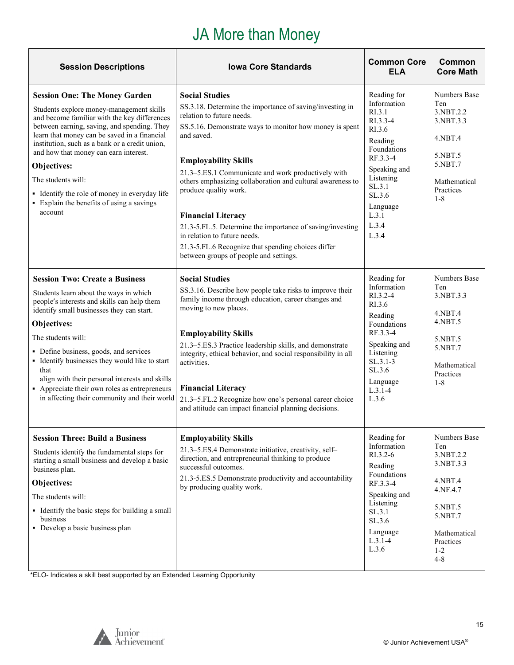## JA More than Money

<span id="page-14-0"></span>

| <b>Session Descriptions</b>                                                                                                                                                                                                                                                                                                                                                                                                                                              | <b>Iowa Core Standards</b>                                                                                                                                                                                                                                                                                                                                                                                                                                                                                                                                                                    | <b>Common Core</b><br><b>ELA</b>                                                                                                                                                         | Common<br><b>Core Math</b>                                                                                                                    |
|--------------------------------------------------------------------------------------------------------------------------------------------------------------------------------------------------------------------------------------------------------------------------------------------------------------------------------------------------------------------------------------------------------------------------------------------------------------------------|-----------------------------------------------------------------------------------------------------------------------------------------------------------------------------------------------------------------------------------------------------------------------------------------------------------------------------------------------------------------------------------------------------------------------------------------------------------------------------------------------------------------------------------------------------------------------------------------------|------------------------------------------------------------------------------------------------------------------------------------------------------------------------------------------|-----------------------------------------------------------------------------------------------------------------------------------------------|
| <b>Session One: The Money Garden</b><br>Students explore money-management skills<br>and become familiar with the key differences<br>between earning, saving, and spending. They<br>learn that money can be saved in a financial<br>institution, such as a bank or a credit union,<br>and how that money can earn interest.<br>Objectives:<br>The students will:<br>• Identify the role of money in everyday life<br>• Explain the benefits of using a savings<br>account | <b>Social Studies</b><br>SS.3.18. Determine the importance of saving/investing in<br>relation to future needs.<br>SS.5.16. Demonstrate ways to monitor how money is spent<br>and saved.<br><b>Employability Skills</b><br>21.3–5.ES.1 Communicate and work productively with<br>others emphasizing collaboration and cultural awareness to<br>produce quality work.<br><b>Financial Literacy</b><br>21.3-5.FL.5. Determine the importance of saving/investing<br>in relation to future needs.<br>21.3-5.FL.6 Recognize that spending choices differ<br>between groups of people and settings. | Reading for<br>Information<br>RI.3.1<br>RI.3.3-4<br>RI.3.6<br>Reading<br>Foundations<br>RF.3.3-4<br>Speaking and<br>Listening<br>SL.3.1<br>SL.3.6<br>Language<br>L.3.1<br>L.3.4<br>L.3.4 | Numbers Base<br>Ten<br>3.NBT.2.2<br>3.NBT.3.3<br>4.NBT.4<br>5.NBT.5<br>5.NBT.7<br>Mathematical<br>Practices<br>$1 - 8$                        |
| <b>Session Two: Create a Business</b><br>Students learn about the ways in which<br>people's interests and skills can help them<br>identify small businesses they can start.<br>Objectives:<br>The students will:<br>• Define business, goods, and services<br>• Identify businesses they would like to start<br>that<br>align with their personal interests and skills<br>• Appreciate their own roles as entrepreneurs<br>in affecting their community and their world  | <b>Social Studies</b><br>SS.3.16. Describe how people take risks to improve their<br>family income through education, career changes and<br>moving to new places.<br><b>Employability Skills</b><br>21.3–5.ES.3 Practice leadership skills, and demonstrate<br>integrity, ethical behavior, and social responsibility in all<br>activities.<br><b>Financial Literacy</b><br>21.3-5.FL.2 Recognize how one's personal career choice<br>and attitude can impact financial planning decisions.                                                                                                   | Reading for<br>Information<br>RI.3.2-4<br>RI.3.6<br>Reading<br>Foundations<br>RF.3.3-4<br>Speaking and<br>Listening<br>$SL.3.1-3$<br>SL.3.6<br>Language<br>$L.3.1 - 4$<br>L.3.6          | Numbers Base<br>Ten<br>3.NBT.3.3<br>4.NBT.4<br>$4.$ NBT $.5$<br>5.NBT.5<br>5.NBT.7<br>Mathematical<br>Practices<br>$1 - 8$                    |
| <b>Session Three: Build a Business</b><br>Students identify the fundamental steps for<br>starting a small business and develop a basic<br>business plan.<br>Objectives:<br>The students will:<br>• Identify the basic steps for building a small<br>business<br>• Develop a basic business plan                                                                                                                                                                          | <b>Employability Skills</b><br>21.3-5.ES.4 Demonstrate initiative, creativity, self-<br>direction, and entrepreneurial thinking to produce<br>successful outcomes.<br>21.3-5.ES.5 Demonstrate productivity and accountability<br>by producing quality work.                                                                                                                                                                                                                                                                                                                                   | Reading for<br>Information<br>RI.3.2-6<br>Reading<br>Foundations<br>RF.3.3-4<br>Speaking and<br>Listening<br>SL.3.1<br>SL.3.6<br>Language<br>$L.3.1-4$<br>L.3.6                          | Numbers Base<br>Ten<br>3.NBT.2.2<br>3.NBT.3.3<br>4.NBT.4<br>4.NF.4.7<br>5.NBT.5<br>5.NBT.7<br>Mathematical<br>Practices<br>$1 - 2$<br>$4 - 8$ |

\*ELO- Indicates a skill best supported by an Extended Learning Opportunity

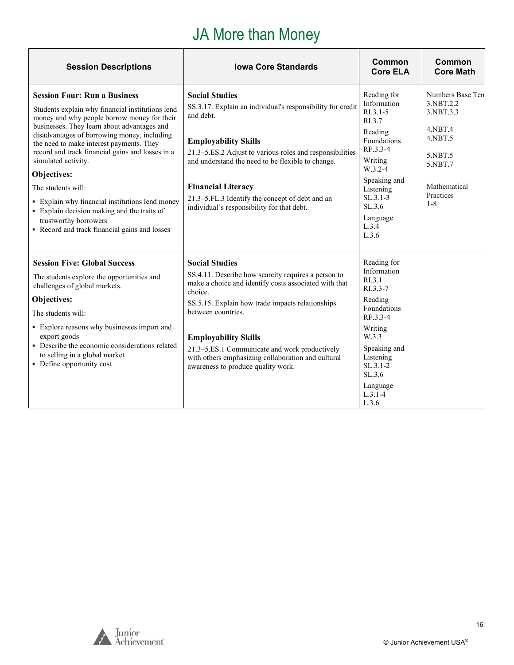# JA More than Money

| <b>Session Descriptions</b>                                                                                                                                                                                                                                                                                                                                                                                                                                                                                                                                                  | <b>Iowa Core Standards</b>                                                                                                                                                                                                                                                                                                                                                                             | Common<br><b>Core ELA</b>                                                                                                                                                                                      | Common<br><b>Core Math</b>                                                                                                                 |
|------------------------------------------------------------------------------------------------------------------------------------------------------------------------------------------------------------------------------------------------------------------------------------------------------------------------------------------------------------------------------------------------------------------------------------------------------------------------------------------------------------------------------------------------------------------------------|--------------------------------------------------------------------------------------------------------------------------------------------------------------------------------------------------------------------------------------------------------------------------------------------------------------------------------------------------------------------------------------------------------|----------------------------------------------------------------------------------------------------------------------------------------------------------------------------------------------------------------|--------------------------------------------------------------------------------------------------------------------------------------------|
| <b>Session Four: Run a Business</b><br>Students explain why financial institutions lend<br>money and why people borrow money for their<br>businesses. They learn about advantages and<br>disadvantages of borrowing money, including<br>the need to make interest payments. They<br>record and track financial gains and losses in a<br>simulated activity.<br>Objectives:<br>The students will:<br>• Explain why financial institutions lend money<br>• Explain decision making and the traits of<br>trustworthy borrowers<br>• Record and track financial gains and losses | <b>Social Studies</b><br>SS.3.17. Explain an individual's responsibility for credit<br>and debt.<br><b>Employability Skills</b><br>21.3–5.ES.2 Adjust to various roles and responsibilities<br>and understand the need to be flexible to change.<br><b>Financial Literacy</b><br>21.3-5.FL.3 Identify the concept of debt and an<br>individual's responsibility for that debt.                         | Reading for<br>Information<br>$R1.3.1-5$<br>RI.3.7<br>Reading<br>Foundations<br>RF.3.3-4<br>Writing<br>W.3.2-4<br>Speaking and<br>Listening<br>$SL.3.1-3$<br>SL.3.6<br>Language<br>$L.3.\overline{4}$<br>L.3.6 | Numbers Base Ten<br>3.NBT.2.2<br>3.NBT.3.3<br>$4.$ NBT $.4$<br>$4.$ NBT $.5$<br>5.NBT.5<br>5.NBT.7<br>Mathematical<br>Practices<br>$1 - 8$ |
| <b>Session Five: Global Success</b><br>The students explore the opportunities and<br>challenges of global markets.<br>Objectives:<br>The students will:<br>• Explore reasons why businesses import and<br>export goods<br>• Describe the economic considerations related<br>to selling in a global market<br>• Define opportunity cost                                                                                                                                                                                                                                       | <b>Social Studies</b><br>SS.4.11. Describe how scarcity requires a person to<br>make a choice and identify costs associated with that<br>choice.<br>SS.5.15. Explain how trade impacts relationships<br>between countries.<br><b>Employability Skills</b><br>21.3–5.ES.1 Communicate and work productively<br>with others emphasizing collaboration and cultural<br>awareness to produce quality work. | Reading for<br>Information<br>RI.3.1<br>RI.3.3-7<br>Reading<br>Foundations<br>RF.3.3-4<br>Writing<br>W.3.3<br>Speaking and<br>Listening<br>$SL.3.1-2$<br>SL.3.6<br>Language<br>$L.3.1-4$<br>L.3.6              |                                                                                                                                            |



**F**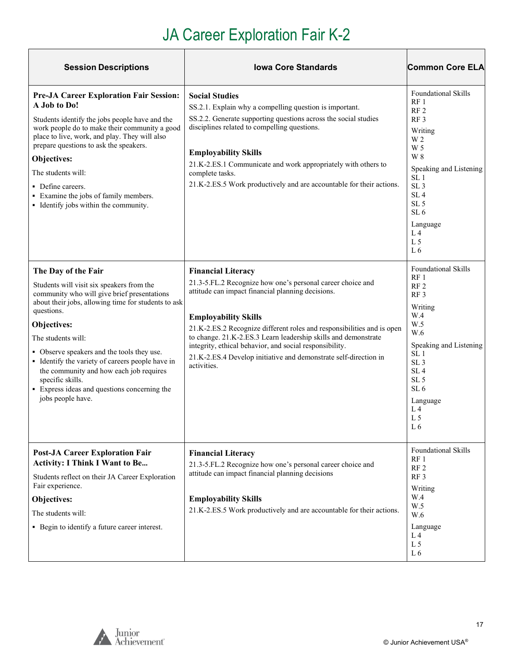# JA Career Exploration Fair K-2

| <b>Session Descriptions</b>                                                                                                                                                                                                                                                                                                                                                                                                                                     | <b>Iowa Core Standards</b>                                                                                                                                                                                                                                                                                                                                                                                                                                            | <b>Common Core ELA</b>                                                                                                                                                                                                                                                                              |
|-----------------------------------------------------------------------------------------------------------------------------------------------------------------------------------------------------------------------------------------------------------------------------------------------------------------------------------------------------------------------------------------------------------------------------------------------------------------|-----------------------------------------------------------------------------------------------------------------------------------------------------------------------------------------------------------------------------------------------------------------------------------------------------------------------------------------------------------------------------------------------------------------------------------------------------------------------|-----------------------------------------------------------------------------------------------------------------------------------------------------------------------------------------------------------------------------------------------------------------------------------------------------|
| <b>Pre-JA Career Exploration Fair Session:</b><br>A Job to Do!<br>Students identify the jobs people have and the<br>work people do to make their community a good<br>place to live, work, and play. They will also<br>prepare questions to ask the speakers.<br>Objectives:<br>The students will:<br>• Define careers.<br>• Examine the jobs of family members.<br>• Identify jobs within the community.                                                        | <b>Social Studies</b><br>SS.2.1. Explain why a compelling question is important.<br>SS.2.2. Generate supporting questions across the social studies<br>disciplines related to compelling questions.<br><b>Employability Skills</b><br>21.K-2.ES.1 Communicate and work appropriately with others to<br>complete tasks.<br>21.K-2.ES.5 Work productively and are accountable for their actions.                                                                        | <b>Foundational Skills</b><br>RF1<br>RF <sub>2</sub><br>RF3<br>Writing<br>W 2<br>W 5<br>W 8<br>Speaking and Listening<br>SL <sub>1</sub><br>SL <sub>3</sub><br>SL <sub>4</sub><br>SL <sub>5</sub><br>SL <sub>6</sub><br>Language<br>L <sub>4</sub><br>L <sub>5</sub><br>L6                          |
| The Day of the Fair<br>Students will visit six speakers from the<br>community who will give brief presentations<br>about their jobs, allowing time for students to ask<br>questions.<br>Objectives:<br>The students will:<br>• Observe speakers and the tools they use.<br>• Identify the variety of careers people have in<br>the community and how each job requires<br>specific skills.<br>• Express ideas and questions concerning the<br>jobs people have. | <b>Financial Literacy</b><br>21.3-5.FL.2 Recognize how one's personal career choice and<br>attitude can impact financial planning decisions.<br><b>Employability Skills</b><br>21.K-2.ES.2 Recognize different roles and responsibilities and is open<br>to change. 21.K-2.ES.3 Learn leadership skills and demonstrate<br>integrity, ethical behavior, and social responsibility.<br>21.K-2.ES.4 Develop initiative and demonstrate self-direction in<br>activities. | <b>Foundational Skills</b><br>RF <sub>1</sub><br>RF <sub>2</sub><br>RF <sub>3</sub><br>Writing<br>W.4<br>W.5<br>W.6<br>Speaking and Listening<br>SL <sub>1</sub><br>SL <sub>3</sub><br>SL <sub>4</sub><br>SL <sub>5</sub><br>SL <sub>6</sub><br>Language<br>L <sub>4</sub><br>L <sub>5</sub><br>L 6 |
| <b>Post-JA Career Exploration Fair</b><br><b>Activity: I Think I Want to Be</b><br>Students reflect on their JA Career Exploration<br>Fair experience.<br>Objectives:<br>The students will:<br>• Begin to identify a future career interest.                                                                                                                                                                                                                    | <b>Financial Literacy</b><br>21.3-5.FL.2 Recognize how one's personal career choice and<br>attitude can impact financial planning decisions<br><b>Employability Skills</b><br>21.K-2.ES.5 Work productively and are accountable for their actions.                                                                                                                                                                                                                    | Foundational Skills<br>RF <sub>1</sub><br>RF <sub>2</sub><br>RF <sub>3</sub><br>Writing<br>W.4<br>W.5<br>W.6<br>Language<br>L <sub>4</sub><br>L <sub>5</sub><br>L6                                                                                                                                  |

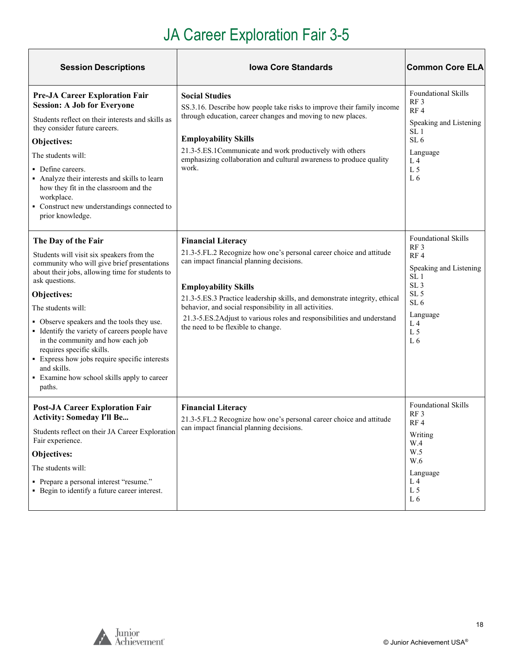# JA Career Exploration Fair 3-5

| <b>Session Descriptions</b>                                                                                                                                                                                                                                                                                                                                                                                                                                                                                         | <b>Iowa Core Standards</b>                                                                                                                                                                                                                                                                                                                                                                                                          | <b>Common Core ELA</b>                                                                                                                                                                                |
|---------------------------------------------------------------------------------------------------------------------------------------------------------------------------------------------------------------------------------------------------------------------------------------------------------------------------------------------------------------------------------------------------------------------------------------------------------------------------------------------------------------------|-------------------------------------------------------------------------------------------------------------------------------------------------------------------------------------------------------------------------------------------------------------------------------------------------------------------------------------------------------------------------------------------------------------------------------------|-------------------------------------------------------------------------------------------------------------------------------------------------------------------------------------------------------|
| <b>Pre-JA Career Exploration Fair</b><br><b>Session: A Job for Everyone</b><br>Students reflect on their interests and skills as<br>they consider future careers.<br>Objectives:<br>The students will:<br>• Define careers.<br>Analyze their interests and skills to learn<br>how they fit in the classroom and the<br>workplace.<br>• Construct new understandings connected to<br>prior knowledge.                                                                                                                | <b>Social Studies</b><br>SS.3.16. Describe how people take risks to improve their family income<br>through education, career changes and moving to new places.<br><b>Employability Skills</b><br>21.3-5.ES.1Communicate and work productively with others<br>emphasizing collaboration and cultural awareness to produce quality<br>work.                                                                                           | <b>Foundational Skills</b><br>RF <sub>3</sub><br>RF4<br>Speaking and Listening<br>SL <sub>1</sub><br>SL <sub>6</sub><br>Language<br>L <sub>4</sub><br>L <sub>5</sub><br>L <sub>6</sub>                |
| The Day of the Fair<br>Students will visit six speakers from the<br>community who will give brief presentations<br>about their jobs, allowing time for students to<br>ask questions.<br>Objectives:<br>The students will:<br>• Observe speakers and the tools they use.<br>• Identify the variety of careers people have<br>in the community and how each job<br>requires specific skills.<br>• Express how jobs require specific interests<br>and skills.<br>• Examine how school skills apply to career<br>paths. | <b>Financial Literacy</b><br>21.3-5.FL.2 Recognize how one's personal career choice and attitude<br>can impact financial planning decisions.<br><b>Employability Skills</b><br>21.3-5.ES.3 Practice leadership skills, and demonstrate integrity, ethical<br>behavior, and social responsibility in all activities.<br>21.3-5.ES.2Adjust to various roles and responsibilities and understand<br>the need to be flexible to change. | <b>Foundational Skills</b><br>RF3<br>RF4<br>Speaking and Listening<br>SL <sub>1</sub><br>SL <sub>3</sub><br>SL <sub>5</sub><br>SL <sub>6</sub><br>Language<br>L <sub>4</sub><br>L <sub>5</sub><br>L 6 |
| <b>Post-JA Career Exploration Fair</b><br><b>Activity: Someday I'll Be</b><br>Students reflect on their JA Career Exploration<br>Fair experience.<br>Objectives:<br>The students will:<br>• Prepare a personal interest "resume."<br>• Begin to identify a future career interest.                                                                                                                                                                                                                                  | <b>Financial Literacy</b><br>21.3-5.FL.2 Recognize how one's personal career choice and attitude<br>can impact financial planning decisions.                                                                                                                                                                                                                                                                                        | Foundational Skills<br>RF <sub>3</sub><br>RF4<br>Writing<br>W.4<br>W.5<br>W.6<br>Language<br>L 4<br>L <sub>5</sub><br>L6                                                                              |